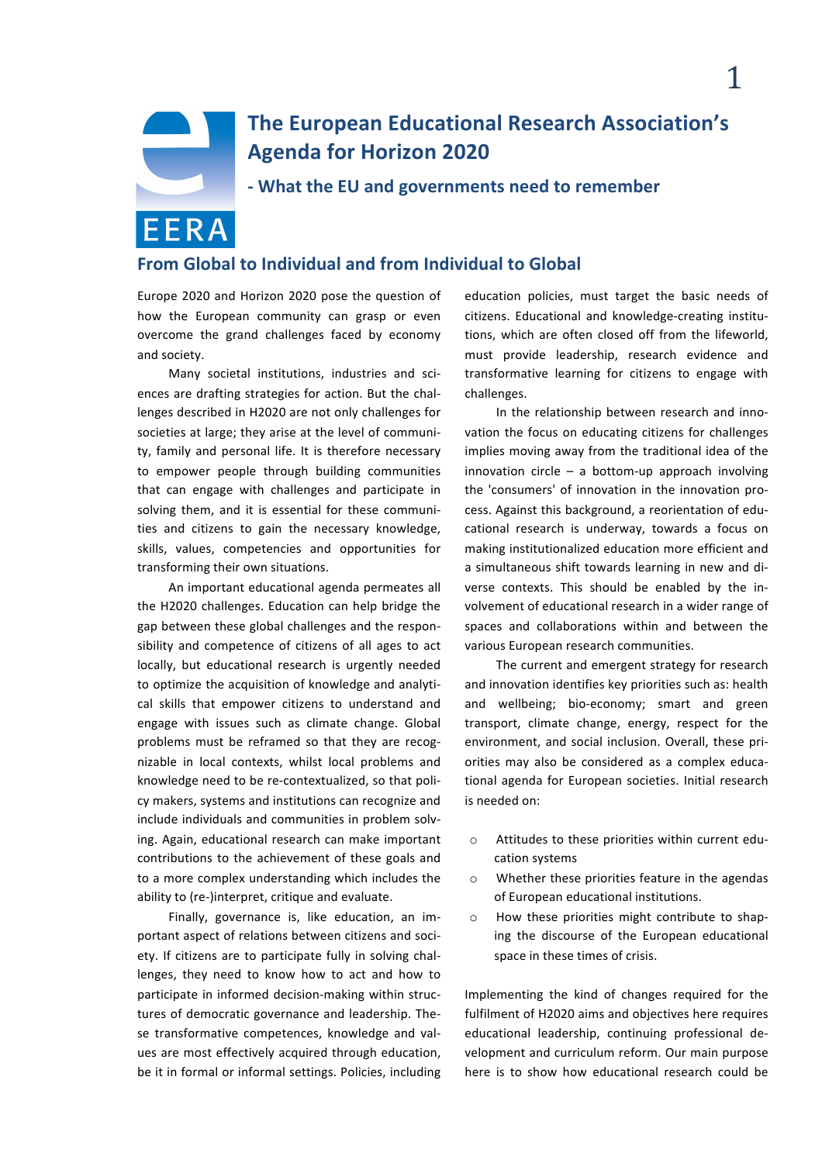

# **The European Educational Research Association's Agenda for Horizon 2020**

**- What the EU and governments need to remember**

# **From Global to Individual and from Individual to Global**

Europe 2020 and Horizon 2020 pose the question of how the European community can grasp or even overcome the grand challenges faced by economy and society.

Many societal institutions, industries and sciences are drafting strategies for action. But the challenges described in H2020 are not only challenges for societies at large; they arise at the level of community, family and personal life. It is therefore necessary to empower people through building communities that can engage with challenges and participate in solving them, and it is essential for these communities and citizens to gain the necessary knowledge, skills, values, competencies and opportunities for transforming their own situations.

An important educational agenda permeates all the H2020 challenges. Education can help bridge the gap between these global challenges and the responsibility and competence of citizens of all ages to act locally, but educational research is urgently needed to optimize the acquisition of knowledge and analytical skills that empower citizens to understand and engage with issues such as climate change. Global problems must be reframed so that they are recognizable in local contexts, whilst local problems and knowledge need to be re-contextualized, so that policy makers, systems and institutions can recognize and include individuals and communities in problem solving. Again, educational research can make important contributions to the achievement of these goals and to a more complex understanding which includes the ability to (re-)interpret, critique and evaluate.

Finally, governance is, like education, an important aspect of relations between citizens and society. If citizens are to participate fully in solving challenges, they need to know how to act and how to participate in informed decision-making within structures of democratic governance and leadership. These transformative competences, knowledge and values are most effectively acquired through education, be it in formal or informal settings. Policies, including

education policies, must target the basic needs of citizens. Educational and knowledge-creating institutions, which are often closed off from the lifeworld, must provide leadership, research evidence and transformative learning for citizens to engage with challenges.

In the relationship between research and innovation the focus on educating citizens for challenges implies moving away from the traditional idea of the innovation  $circle - a bottom-up approach involving$ the 'consumers' of innovation in the innovation process. Against this background, a reorientation of educational research is underway, towards a focus on making institutionalized education more efficient and a simultaneous shift towards learning in new and diverse contexts. This should be enabled by the involvement of educational research in a wider range of spaces and collaborations within and between the various European research communities.

The current and emergent strategy for research and innovation identifies key priorities such as: health and wellbeing; bio-economy; smart and green transport, climate change, energy, respect for the environment, and social inclusion. Overall, these priorities may also be considered as a complex educational agenda for European societies. Initial research is needed on:

- $\circ$  Attitudes to these priorities within current education systems
- $\circ$  Whether these priorities feature in the agendas of European educational institutions.
- $\circ$  How these priorities might contribute to shaping the discourse of the European educational space in these times of crisis.

Implementing the kind of changes required for the fulfilment of H2020 aims and objectives here requires educational leadership, continuing professional development and curriculum reform. Our main purpose here is to show how educational research could be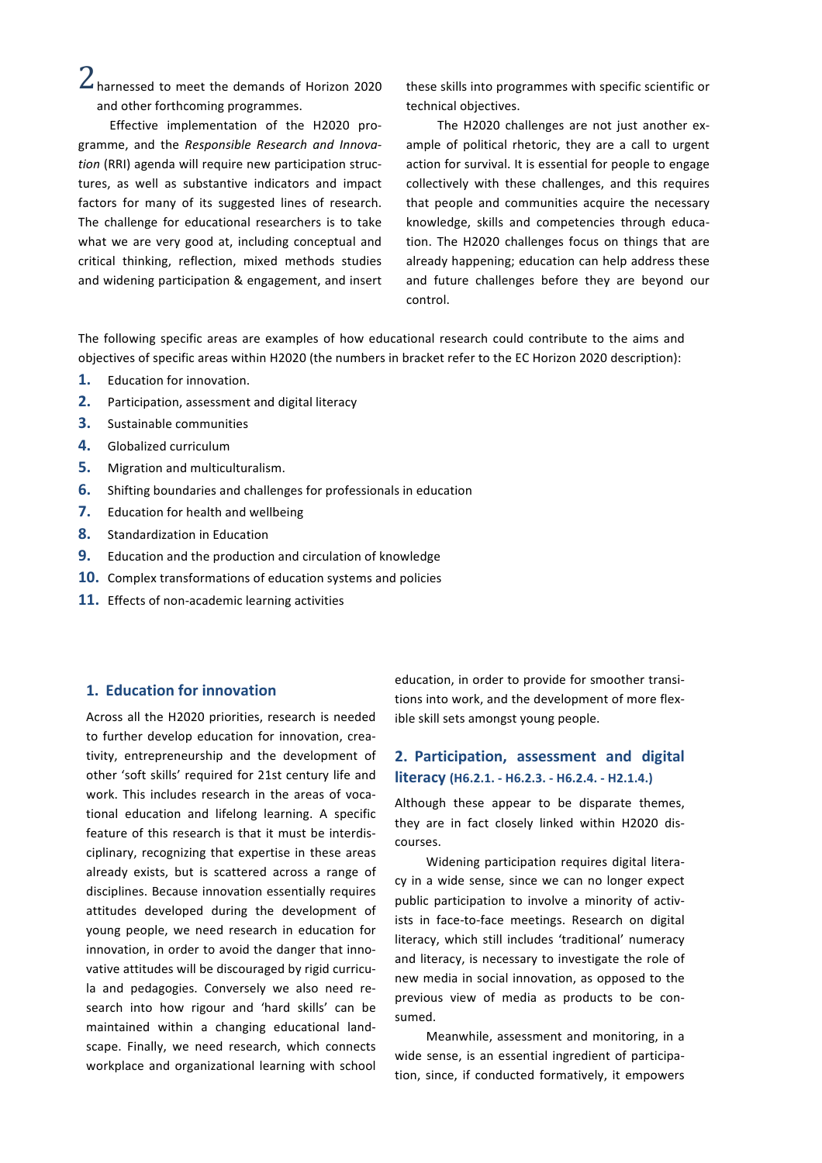$2$  harnessed to meet the demands of Horizon 2020 and other forthcoming programmes.

Effective implementation of the H2020 programme, and the *Responsible Research and Innova*tion (RRI) agenda will require new participation structures, as well as substantive indicators and impact factors for many of its suggested lines of research. The challenge for educational researchers is to take what we are very good at, including conceptual and critical thinking, reflection, mixed methods studies and widening participation & engagement, and insert these skills into programmes with specific scientific or technical objectives.

The H2020 challenges are not just another example of political rhetoric, they are a call to urgent action for survival. It is essential for people to engage collectively with these challenges, and this requires that people and communities acquire the necessary knowledge, skills and competencies through education. The H2020 challenges focus on things that are already happening; education can help address these and future challenges before they are beyond our control. 

The following specific areas are examples of how educational research could contribute to the aims and objectives of specific areas within H2020 (the numbers in bracket refer to the EC Horizon 2020 description):

- **1.** Education for innovation.
- **2.** Participation, assessment and digital literacy
- **3.** Sustainable communities
- 4. Globalized curriculum
- **5.** Migration and multiculturalism.
- **6.** Shifting boundaries and challenges for professionals in education
- **7.** Education for health and wellbeing
- **8.** Standardization in Education
- **9.** Education and the production and circulation of knowledge
- **10.** Complex transformations of education systems and policies
- **11.** Effects of non-academic learning activities

#### **1. Education for innovation**

Across all the H2020 priorities, research is needed to further develop education for innovation, creativity, entrepreneurship and the development of other 'soft skills' required for 21st century life and work. This includes research in the areas of vocational education and lifelong learning. A specific feature of this research is that it must be interdisciplinary, recognizing that expertise in these areas already exists, but is scattered across a range of disciplines. Because innovation essentially requires attitudes developed during the development of young people, we need research in education for innovation, in order to avoid the danger that innovative attitudes will be discouraged by rigid curricula and pedagogies. Conversely we also need research into how rigour and 'hard skills' can be maintained within a changing educational landscape. Finally, we need research, which connects workplace and organizational learning with school

education, in order to provide for smoother transitions into work, and the development of more flexible skill sets amongst young people.

## **2. Participation, assessment and digital literacy (H6.2.1. - H6.2.3. - H6.2.4. - H2.1.4.)**

Although these appear to be disparate themes, they are in fact closely linked within H2020 discourses. 

Widening participation requires digital literacy in a wide sense, since we can no longer expect public participation to involve a minority of activists in face-to-face meetings. Research on digital literacy, which still includes 'traditional' numeracy and literacy, is necessary to investigate the role of new media in social innovation, as opposed to the previous view of media as products to be consumed.

Meanwhile, assessment and monitoring, in a wide sense, is an essential ingredient of participation, since, if conducted formatively, it empowers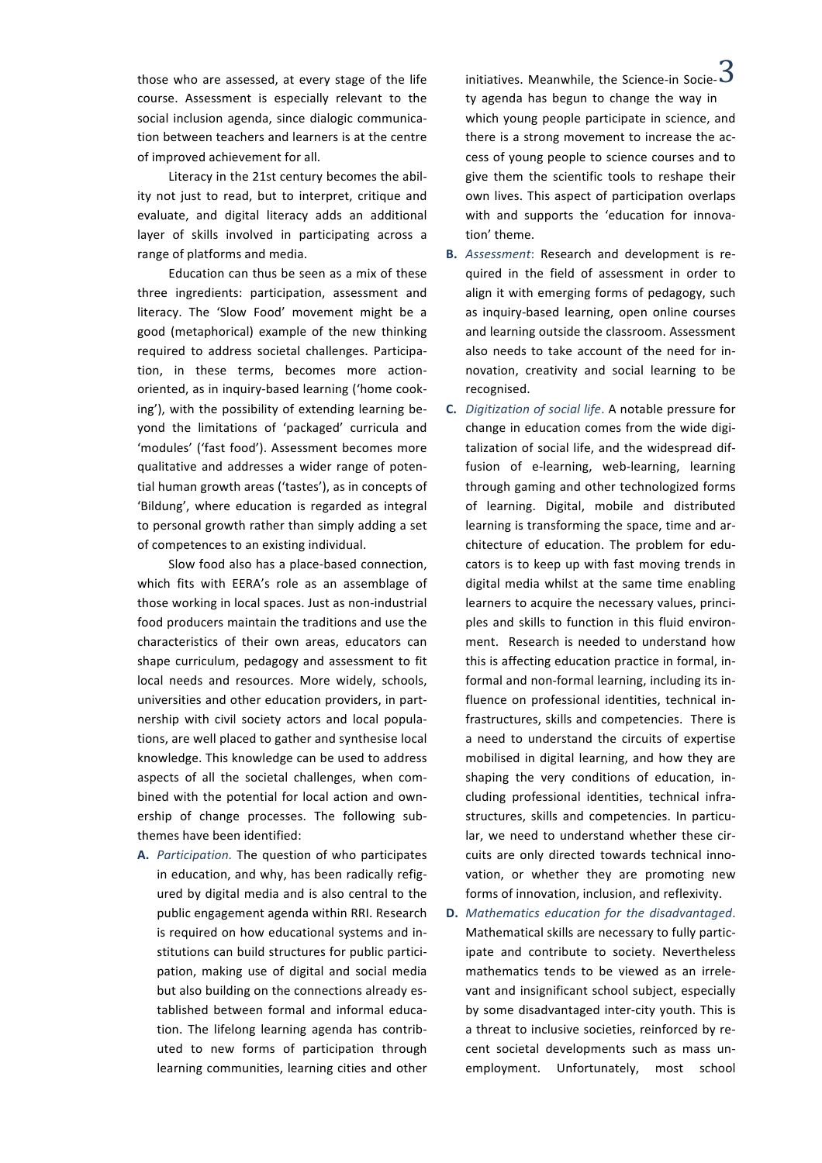course. Assessment is especially relevant to the social inclusion agenda, since dialogic communication between teachers and learners is at the centre of improved achievement for all.

Literacy in the 21st century becomes the ability not just to read, but to interpret, critique and evaluate, and digital literacy adds an additional layer of skills involved in participating across a range of platforms and media.

Education can thus be seen as a mix of these three ingredients: participation, assessment and literacy. The 'Slow Food' movement might be a good (metaphorical) example of the new thinking required to address societal challenges. Participation, in these terms, becomes more actionoriented, as in inquiry-based learning ('home cooking'), with the possibility of extending learning beyond the limitations of 'packaged' curricula and 'modules' ('fast food'). Assessment becomes more qualitative and addresses a wider range of potential human growth areas ('tastes'), as in concepts of 'Bildung', where education is regarded as integral to personal growth rather than simply adding a set of competences to an existing individual.

Slow food also has a place-based connection, which fits with EERA's role as an assemblage of those working in local spaces. Just as non-industrial food producers maintain the traditions and use the characteristics of their own areas, educators can shape curriculum, pedagogy and assessment to fit local needs and resources. More widely, schools, universities and other education providers, in partnership with civil society actors and local populations, are well placed to gather and synthesise local knowledge. This knowledge can be used to address aspects of all the societal challenges, when combined with the potential for local action and ownership of change processes. The following subthemes have been identified:

A. Participation. The question of who participates in education, and why, has been radically refigured by digital media and is also central to the public engagement agenda within RRI. Research is required on how educational systems and institutions can build structures for public participation, making use of digital and social media but also building on the connections already established between formal and informal education. The lifelong learning agenda has contributed to new forms of participation through learning communities, learning cities and other

those who are assessed, at every stage of the life anitiatives. Meanwhile, the Science-in Socie- $\bf 3$ ty agenda has begun to change the way in which young people participate in science, and there is a strong movement to increase the access of young people to science courses and to give them the scientific tools to reshape their own lives. This aspect of participation overlaps with and supports the 'education for innovation' theme. 

- **B.** Assessment: Research and development is required in the field of assessment in order to align it with emerging forms of pedagogy, such as inquiry-based learning, open online courses and learning outside the classroom. Assessment also needs to take account of the need for innovation, creativity and social learning to be recognised.
- **C.** *Digitization of social life*. A notable pressure for change in education comes from the wide digitalization of social life, and the widespread diffusion of e-learning, web-learning, learning through gaming and other technologized forms of learning. Digital, mobile and distributed learning is transforming the space, time and architecture of education. The problem for educators is to keep up with fast moving trends in digital media whilst at the same time enabling learners to acquire the necessary values, principles and skills to function in this fluid environment. Research is needed to understand how this is affecting education practice in formal, informal and non-formal learning, including its influence on professional identities, technical infrastructures, skills and competencies. There is a need to understand the circuits of expertise mobilised in digital learning, and how they are shaping the very conditions of education, including professional identities, technical infrastructures, skills and competencies. In particular, we need to understand whether these circuits are only directed towards technical innovation, or whether they are promoting new forms of innovation, inclusion, and reflexivity.
- **D.** *Mathematics education for the disadvantaged*. Mathematical skills are necessary to fully participate and contribute to society. Nevertheless mathematics tends to be viewed as an irrelevant and insignificant school subject, especially by some disadvantaged inter-city youth. This is a threat to inclusive societies, reinforced by recent societal developments such as mass unemployment. Unfortunately, most school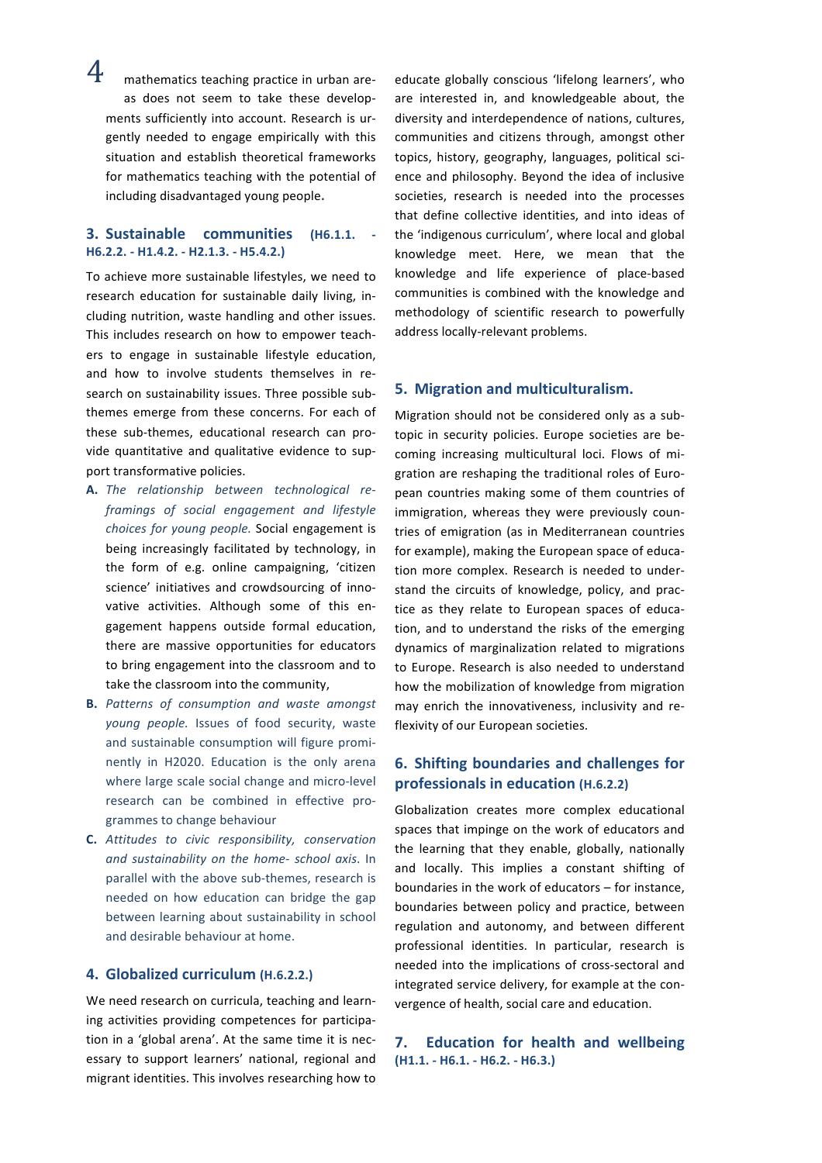$4$  mathematics teaching practice in urban areas does not seem to take these developments sufficiently into account. Research is urgently needed to engage empirically with this situation and establish theoretical frameworks for mathematics teaching with the potential of including disadvantaged young people**.**

#### **3. Sustainable communities (H6.1.1. - H6.2.2. - H1.4.2. - H2.1.3. - H5.4.2.)**

To achieve more sustainable lifestyles, we need to research education for sustainable daily living, including nutrition, waste handling and other issues. This includes research on how to empower teachers to engage in sustainable lifestyle education, and how to involve students themselves in research on sustainability issues. Three possible subthemes emerge from these concerns. For each of these sub-themes, educational research can provide quantitative and qualitative evidence to support transformative policies.

- A. The relationship between technological re*framings of social engagement and lifestyle*  choices for young people. Social engagement is being increasingly facilitated by technology, in the form of e.g. online campaigning, 'citizen science' initiatives and crowdsourcing of innovative activities. Although some of this engagement happens outside formal education, there are massive opportunities for educators to bring engagement into the classroom and to take the classroom into the community,
- **B.** Patterns of consumption and waste amongst young people. Issues of food security, waste and sustainable consumption will figure prominently in H2020. Education is the only arena where large scale social change and micro-level research can be combined in effective programmes to change behaviour
- **C.** *Attitudes to civic responsibility, conservation and sustainability on the home- school axis*. In parallel with the above sub-themes, research is needed on how education can bridge the gap between learning about sustainability in school and desirable behaviour at home.

#### **4. Globalized curriculum (H.6.2.2.)**

We need research on curricula, teaching and learning activities providing competences for participation in a 'global arena'. At the same time it is necessary to support learners' national, regional and migrant identities. This involves researching how to educate globally conscious 'lifelong learners', who are interested in, and knowledgeable about, the diversity and interdependence of nations, cultures, communities and citizens through, amongst other topics, history, geography, languages, political science and philosophy. Beyond the idea of inclusive societies, research is needed into the processes that define collective identities, and into ideas of the 'indigenous curriculum', where local and global knowledge meet. Here, we mean that the knowledge and life experience of place-based communities is combined with the knowledge and methodology of scientific research to powerfully address locally-relevant problems.

#### **5.** Migration and multiculturalism.

Migration should not be considered only as a subtopic in security policies. Europe societies are becoming increasing multicultural loci. Flows of migration are reshaping the traditional roles of European countries making some of them countries of immigration, whereas they were previously countries of emigration (as in Mediterranean countries for example), making the European space of education more complex. Research is needed to understand the circuits of knowledge, policy, and practice as they relate to European spaces of education, and to understand the risks of the emerging dynamics of marginalization related to migrations to Europe. Research is also needed to understand how the mobilization of knowledge from migration may enrich the innovativeness, inclusivity and reflexivity of our European societies.

## **6. Shifting boundaries and challenges for professionals in education (H.6.2.2)**

Globalization creates more complex educational spaces that impinge on the work of educators and the learning that they enable, globally, nationally and locally. This implies a constant shifting of boundaries in the work of educators  $-$  for instance. boundaries between policy and practice, between regulation and autonomy, and between different professional identities. In particular, research is needed into the implications of cross-sectoral and integrated service delivery, for example at the convergence of health, social care and education.

**7. Education for health and wellbeing (H1.1. - H6.1. - H6.2. - H6.3.)**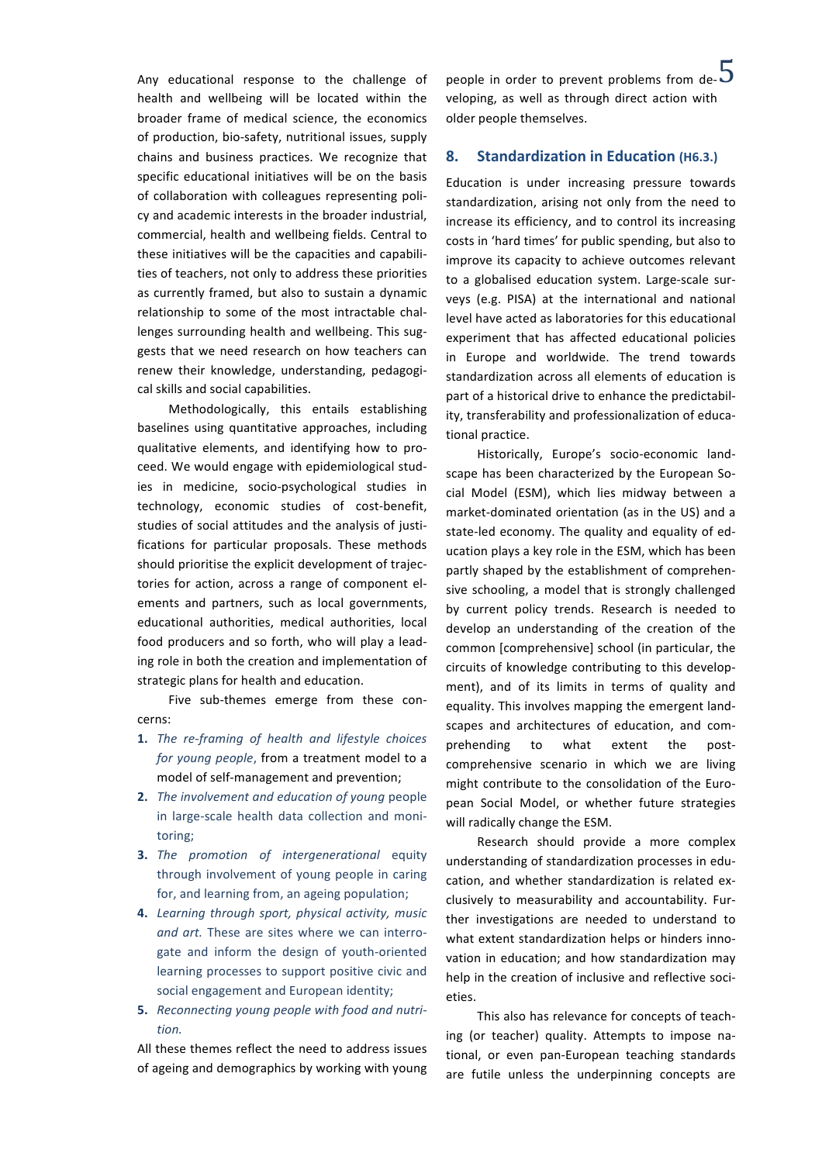health and wellbeing will be located within the broader frame of medical science, the economics of production, bio-safety, nutritional issues, supply chains and business practices. We recognize that specific educational initiatives will be on the basis of collaboration with colleagues representing policy and academic interests in the broader industrial, commercial, health and wellbeing fields. Central to these initiatives will be the capacities and capabilities of teachers, not only to address these priorities as currently framed, but also to sustain a dynamic relationship to some of the most intractable challenges surrounding health and wellbeing. This suggests that we need research on how teachers can renew their knowledge, understanding, pedagogical skills and social capabilities.

Methodologically, this entails establishing baselines using quantitative approaches, including qualitative elements, and identifying how to proceed. We would engage with epidemiological studies in medicine, socio-psychological studies in technology, economic studies of cost-benefit, studies of social attitudes and the analysis of justifications for particular proposals. These methods should prioritise the explicit development of trajectories for action, across a range of component elements and partners, such as local governments, educational authorities, medical authorities, local food producers and so forth, who will play a leading role in both the creation and implementation of strategic plans for health and education.

Five sub-themes emerge from these concerns:

- **1.** *The re-framing of health and lifestyle choices for young people, from a treatment model to a* model of self-management and prevention;
- **2.** *The involvement and education of young people* in large-scale health data collection and monitoring;
- **3.** *The promotion of intergenerational* equity through involvement of young people in caring for, and learning from, an ageing population;
- **4.** Learning through sport, physical activity, music and art. These are sites where we can interrogate and inform the design of youth-oriented learning processes to support positive civic and social engagement and European identity;
- **5.** Reconnecting young people with food and nutri*tion.*

All these themes reflect the need to address issues of ageing and demographics by working with young

Any educational response to the challenge of vpeople in order to prevent problems from de- $\overline{5}$ veloping, as well as through direct action with older people themselves.

#### 8. **Standardization in Education (H6.3.)**

Education is under increasing pressure towards standardization, arising not only from the need to increase its efficiency, and to control its increasing costs in 'hard times' for public spending, but also to improve its capacity to achieve outcomes relevant to a globalised education system. Large-scale surveys (e.g. PISA) at the international and national level have acted as laboratories for this educational experiment that has affected educational policies in Europe and worldwide. The trend towards standardization across all elements of education is part of a historical drive to enhance the predictability, transferability and professionalization of educational practice.

Historically, Europe's socio-economic landscape has been characterized by the European Social Model (ESM), which lies midway between a market-dominated orientation (as in the US) and a state-led economy. The quality and equality of education plays a key role in the ESM, which has been partly shaped by the establishment of comprehensive schooling, a model that is strongly challenged by current policy trends. Research is needed to develop an understanding of the creation of the common [comprehensive] school (in particular, the circuits of knowledge contributing to this development), and of its limits in terms of quality and equality. This involves mapping the emergent landscapes and architectures of education, and comprehending to what extent the postcomprehensive scenario in which we are living might contribute to the consolidation of the European Social Model, or whether future strategies will radically change the ESM.

Research should provide a more complex understanding of standardization processes in education, and whether standardization is related exclusively to measurability and accountability. Further investigations are needed to understand to what extent standardization helps or hinders innovation in education; and how standardization may help in the creation of inclusive and reflective societies.

This also has relevance for concepts of teaching (or teacher) quality. Attempts to impose national, or even pan-European teaching standards are futile unless the underpinning concepts are